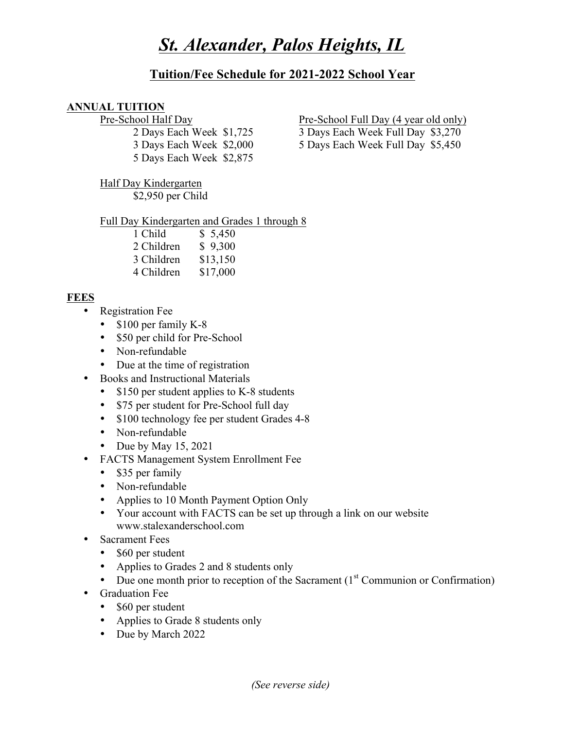# *St. Alexander, Palos Heights, IL*

## **Tuition/Fee Schedule for 2021-2022 School Year**

#### **ANNUAL TUITION**

5 Days Each Week \$2,875

Half Day Kindergarten

\$2,950 per Child

Full Day Kindergarten and Grades 1 through 8

| 1 Child    | \$5,450  |
|------------|----------|
| 2 Children | \$9,300  |
| 3 Children | \$13,150 |
| 4 Children | \$17,000 |

### **FEES**

- Registration Fee
	- \$100 per family K-8
	- \$50 per child for Pre-School
	- Non-refundable
	- Due at the time of registration
- Books and Instructional Materials
	- \$150 per student applies to K-8 students
	- \$75 per student for Pre-School full day
	- \$100 technology fee per student Grades 4-8
	- Non-refundable
	- Due by May 15, 2021
- FACTS Management System Enrollment Fee
	- \$35 per family
	- Non-refundable
	- Applies to 10 Month Payment Option Only
	- Your account with FACTS can be set up through a link on our website www.stalexanderschool.com
- Sacrament Fees
	- \$60 per student
	- Applies to Grades 2 and 8 students only
	- Due one month prior to reception of the Sacrament  $(1<sup>st</sup>$  Communion or Confirmation)
- Graduation Fee
	- \$60 per student
	- Applies to Grade 8 students only
	- Due by March 2022

Pre-School Half Day Pre-School Full Day (4 year old only)

2 Days Each Week \$1,725 3 Days Each Week Full Day \$3,270

3 Days Each Week \$2,000 5 Days Each Week Full Day \$5,450